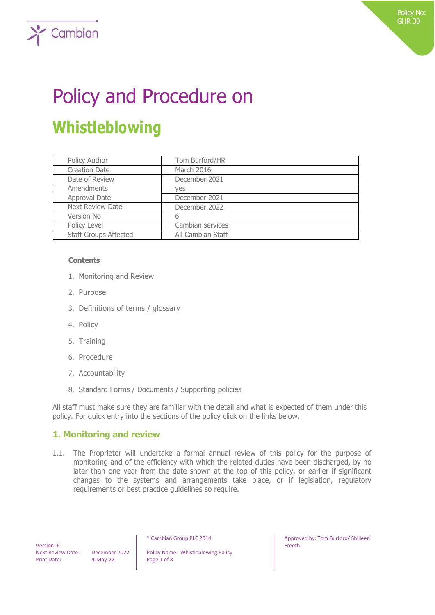# Policy and Procedure on **Whistleblowing**

| Policy Author                | Tom Burford/HR    |
|------------------------------|-------------------|
| <b>Creation Date</b>         | March 2016        |
| Date of Review               | December 2021     |
| Amendments                   | ves               |
| Approval Date                | December 2021     |
| <b>Next Review Date</b>      | December 2022     |
| Version No                   | 6                 |
| Policy Level                 | Cambian services  |
| <b>Staff Groups Affected</b> | All Cambian Staff |

#### **Contents**

 $\sum$  Cambian

- 1. Monitoring and Review
- 2. Purpose
- 3. Definitions of terms / glossary
- 4. Policy
- 5. Training
- 6. Procedure
- 7. Accountability
- 8. Standard Forms / Documents / Supporting policies

All staff must make sure they are familiar with the detail and what is expected of them under this policy. For quick entry into the sections of the policy click on the links below.

## **1. Monitoring and review**

1.1. The Proprietor will undertake a formal annual review of this policy for the purpose of monitoring and of the efficiency with which the related duties have been discharged, by no later than one year from the date shown at the top of this policy, or earlier if significant changes to the systems and arrangements take place, or if legislation, regulatory requirements or best practice guidelines so require.

 Version: 6 Print Date: 4-May-22 Page 1 of 8

Next Review Date: December 2022 | Policy Name: Whistleblowing Policy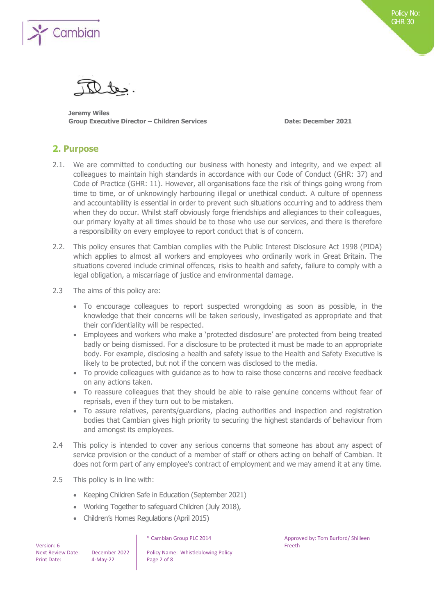

**Jeremy Wiles Group Executive Director – Children Services Date: December 2021**

## **2. Purpose**

- 2.1. We are committed to conducting our business with honesty and integrity, and we expect all colleagues to maintain high standards in accordance with our Code of Conduct (GHR: 37) and Code of Practice (GHR: 11). However, all organisations face the risk of things going wrong from time to time, or of unknowingly harbouring illegal or unethical conduct. A culture of openness and accountability is essential in order to prevent such situations occurring and to address them when they do occur. Whilst staff obviously forge friendships and allegiances to their colleagues, our primary loyalty at all times should be to those who use our services, and there is therefore a responsibility on every employee to report conduct that is of concern.
- 2.2. This policy ensures that Cambian complies with the Public Interest Disclosure Act 1998 (PIDA) which applies to almost all workers and employees who ordinarily work in Great Britain. The situations covered include criminal offences, risks to health and safety, failure to comply with a legal obligation, a miscarriage of justice and environmental damage.
- 2.3 The aims of this policy are:
	- To encourage colleagues to report suspected wrongdoing as soon as possible, in the knowledge that their concerns will be taken seriously, investigated as appropriate and that their confidentiality will be respected.
	- Employees and workers who make a 'protected disclosure' are protected from being treated badly or being dismissed. For a disclosure to be protected it must be made to an appropriate body. For example, disclosing a health and safety issue to the Health and Safety Executive is likely to be protected, but not if the concern was disclosed to the media.
	- To provide colleagues with guidance as to how to raise those concerns and receive feedback on any actions taken.
	- To reassure colleagues that they should be able to raise genuine concerns without fear of reprisals, even if they turn out to be mistaken.
	- To assure relatives, parents/guardians, placing authorities and inspection and registration bodies that Cambian gives high priority to securing the highest standards of behaviour from and amongst its employees.
- 2.4 This policy is intended to cover any serious concerns that someone has about any aspect of service provision or the conduct of a member of staff or others acting on behalf of Cambian. It does not form part of any employee's contract of employment and we may amend it at any time.
- 2.5 This policy is in line with:
	- Keeping Children Safe in Education (September 2021)
	- Working Together to safeguard Children (July 2018),
	- Children's Homes Regulations (April 2015)

| Version: 6               |
|--------------------------|
| <b>Next Review Date:</b> |
| <b>Print Date:</b>       |

December 2022 | Policy Name: Whistleblowing Policy 4-May-22 Page 2 of 8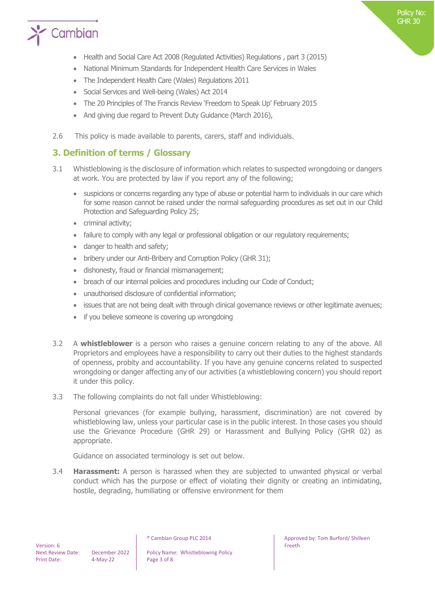

- Health and Social Care Act 2008 (Regulated Activities) Regulations , part 3 (2015)
- National Minimum Standards for Independent Health Care Services in Wales
- The Independent Health Care (Wales) Regulations 2011
- Social Services and Well-being (Wales) Act 2014
- The 20 Principles of The Francis Review 'Freedom to Speak Up' February 2015
- And giving due regard to Prevent Duty Guidance (March 2016),
- 2.6 This policy is made available to parents, carers, staff and individuals.

## **3. Definition of terms / Glossary**

- 3.1 Whistleblowing is the disclosure of information which relates to suspected wrongdoing or dangers at work. You are protected by law if you report any of the following;
	- suspicions or concerns regarding any type of abuse or potential harm to individuals in our care which for some reason cannot be raised under the normal safeguarding procedures as set out in our Child Protection and Safeguarding Policy 25;
	- criminal activity;
	- failure to comply with any legal or professional obligation or our regulatory requirements;
	- danger to health and safety;
	- bribery under our Anti-Bribery and Corruption Policy (GHR 31);
	- dishonesty, fraud or financial mismanagement;
	- breach of our internal policies and procedures including our Code of Conduct;
	- unauthorised disclosure of confidential information;
	- issues that are not being dealt with through clinical governance reviews or other legitimate avenues;
	- if you believe someone is covering up wrongdoing
- 3.2 A **whistleblower** is a person who raises a genuine concern relating to any of the above. All Proprietors and employees have a responsibility to carry out their duties to the highest standards of openness, probity and accountability. If you have any genuine concerns related to suspected wrongdoing or danger affecting any of our activities (a whistleblowing concern) you should report it under this policy.
- 3.3 The following complaints do not fall under Whistleblowing:

Personal grievances (for example bullying, harassment, discrimination) are not covered by whistleblowing law, unless your particular case is in the public interest. In those cases you should use the Grievance Procedure (GHR 29) or Harassment and Bullying Policy (GHR 02) as appropriate.

Guidance on associated terminology is set out below.

3.4 **Harassment:** A person is harassed when they are subjected to unwanted physical or verbal conduct which has the purpose or effect of violating their dignity or creating an intimidating, hostile, degrading, humiliating or offensive environment for them

Next Review Date: December 2022 | Policy Name: Whistleblowing Policy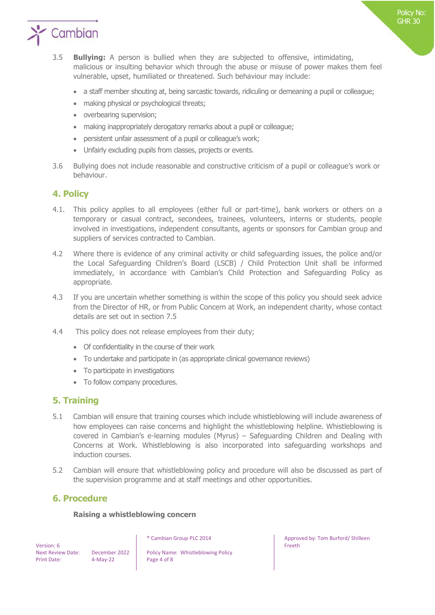

- 3.5 **Bullying:** A person is bullied when they are subjected to offensive, intimidating, malicious or insulting behavior which through the abuse or misuse of power makes them feel vulnerable, upset, humiliated or threatened. Such behaviour may include:
	- a staff member shouting at, being sarcastic towards, ridiculing or demeaning a pupil or colleague;
	- making physical or psychological threats;
	- overbearing supervision;
	- making inappropriately derogatory remarks about a pupil or colleague;
	- persistent unfair assessment of a pupil or colleague's work;
	- Unfairly excluding pupils from classes, projects or events.
- 3.6 Bullying does not include reasonable and constructive criticism of a pupil or colleague's work or behaviour.

## **4. Policy**

- 4.1. This policy applies to all employees (either full or part-time), bank workers or others on a temporary or casual contract, secondees, trainees, volunteers, interns or students, people involved in investigations, independent consultants, agents or sponsors for Cambian group and suppliers of services contracted to Cambian.
- 4.2 Where there is evidence of any criminal activity or child safeguarding issues, the police and/or the Local Safeguarding Children's Board (LSCB) / Child Protection Unit shall be informed immediately, in accordance with Cambian's Child Protection and Safeguarding Policy as appropriate.
- 4.3 If you are uncertain whether something is within the scope of this policy you should seek advice from the Director of HR, or from Public Concern at Work, an independent charity, whose contact details are set out in section 7.5
- 4.4 This policy does not release employees from their duty;
	- Of confidentiality in the course of their work
	- To undertake and participate in (as appropriate clinical governance reviews)
	- To participate in investigations
	- To follow company procedures.

## **5. Training**

- 5.1 Cambian will ensure that training courses which include whistleblowing will include awareness of how employees can raise concerns and highlight the whistleblowing helpline. Whistleblowing is covered in Cambian's e-learning modules (Myrus) – Safeguarding Children and Dealing with Concerns at Work. Whistleblowing is also incorporated into safeguarding workshops and induction courses.
- 5.2 Cambian will ensure that whistleblowing policy and procedure will also be discussed as part of the supervision programme and at staff meetings and other opportunities.

## **6. Procedure**

#### **Raising a whistleblowing concern**

 Version: 6 Print Date: 4-May-22 Page 4 of 8

Next Review Date: December 2022 | Policy Name: Whistleblowing Policy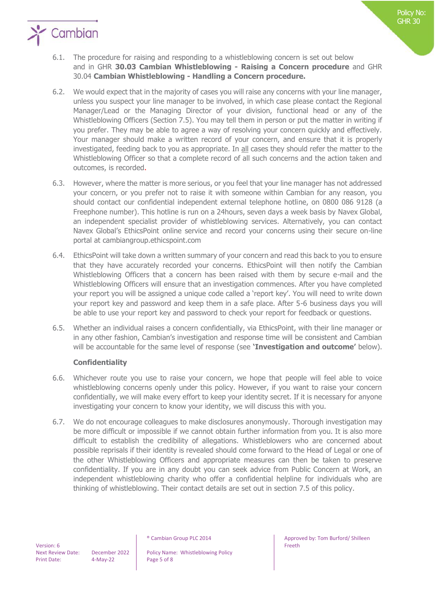

- 6.2. We would expect that in the majority of cases you will raise any concerns with your line manager, unless you suspect your line manager to be involved, in which case please contact the Regional Manager/Lead or the Managing Director of your division, functional head or any of the Whistleblowing Officers (Section 7.5). You may tell them in person or put the matter in writing if you prefer. They may be able to agree a way of resolving your concern quickly and effectively. Your manager should make a written record of your concern, and ensure that it is properly investigated, feeding back to you as appropriate. In all cases they should refer the matter to the Whistleblowing Officer so that a complete record of all such concerns and the action taken and outcomes, is recorded.
- 6.3. However, where the matter is more serious, or you feel that your line manager has not addressed your concern, or you prefer not to raise it with someone within Cambian for any reason, you should contact our confidential independent external telephone hotline, on 0800 086 9128 (a Freephone number). This hotline is run on a 24hours, seven days a week basis by Navex Global, an independent specialist provider of whistleblowing services. Alternatively, you can contact Navex Global's EthicsPoint online service and record your concerns using their secure on-line portal at cambiangroup.ethicspoint.com
- 6.4. EthicsPoint will take down a written summary of your concern and read this back to you to ensure that they have accurately recorded your concerns. EthicsPoint will then notify the Cambian Whistleblowing Officers that a concern has been raised with them by secure e-mail and the Whistleblowing Officers will ensure that an investigation commences. After you have completed your report you will be assigned a unique code called a 'report key'. You will need to write down your report key and password and keep them in a safe place. After 5-6 business days you will be able to use your report key and password to check your report for feedback or questions.
- 6.5. Whether an individual raises a concern confidentially, via EthicsPoint, with their line manager or in any other fashion, Cambian's investigation and response time will be consistent and Cambian will be accountable for the same level of response (see **'Investigation and outcome'** below).

## **Confidentiality**

- 6.6. Whichever route you use to raise your concern, we hope that people will feel able to voice whistleblowing concerns openly under this policy. However, if you want to raise your concern confidentially, we will make every effort to keep your identity secret. If it is necessary for anyone investigating your concern to know your identity, we will discuss this with you.
- 6.7. We do not encourage colleagues to make disclosures anonymously. Thorough investigation may be more difficult or impossible if we cannot obtain further information from you. It is also more difficult to establish the credibility of allegations. Whistleblowers who are concerned about possible reprisals if their identity is revealed should come forward to the Head of Legal or one of the other Whistleblowing Officers and appropriate measures can then be taken to preserve confidentiality. If you are in any doubt you can seek advice from Public Concern at Work, an independent whistleblowing charity who offer a confidential helpline for individuals who are thinking of whistleblowing. Their contact details are set out in section 7.5 of this policy.

Next Review Date: December 2022 | Policy Name: Whistleblowing Policy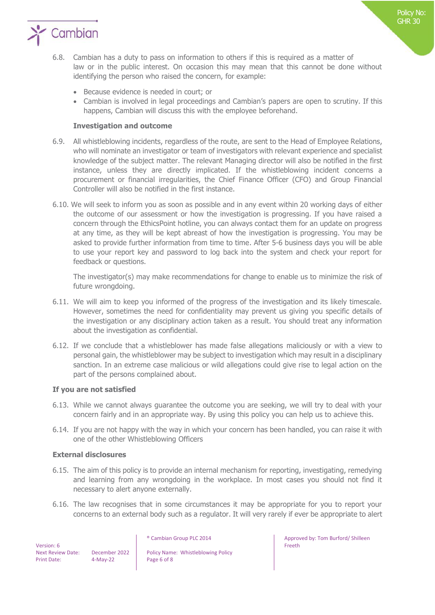

- 6.8. Cambian has a duty to pass on information to others if this is required as a matter of law or in the public interest. On occasion this may mean that this cannot be done without identifying the person who raised the concern, for example:
	- Because evidence is needed in court; or
	- Cambian is involved in legal proceedings and Cambian's papers are open to scrutiny. If this happens, Cambian will discuss this with the employee beforehand.

#### **Investigation and outcome**

- 6.9. All whistleblowing incidents, regardless of the route, are sent to the Head of Employee Relations, who will nominate an investigator or team of investigators with relevant experience and specialist knowledge of the subject matter. The relevant Managing director will also be notified in the first instance, unless they are directly implicated. If the whistleblowing incident concerns a procurement or financial irregularities, the Chief Finance Officer (CFO) and Group Financial Controller will also be notified in the first instance.
- 6.10. We will seek to inform you as soon as possible and in any event within 20 working days of either the outcome of our assessment or how the investigation is progressing. If you have raised a concern through the EthicsPoint hotline, you can always contact them for an update on progress at any time, as they will be kept abreast of how the investigation is progressing. You may be asked to provide further information from time to time. After 5-6 business days you will be able to use your report key and password to log back into the system and check your report for feedback or questions.

The investigator(s) may make recommendations for change to enable us to minimize the risk of future wrongdoing.

- 6.11. We will aim to keep you informed of the progress of the investigation and its likely timescale. However, sometimes the need for confidentiality may prevent us giving you specific details of the investigation or any disciplinary action taken as a result. You should treat any information about the investigation as confidential.
- 6.12. If we conclude that a whistleblower has made false allegations maliciously or with a view to personal gain, the whistleblower may be subject to investigation which may result in a disciplinary sanction. In an extreme case malicious or wild allegations could give rise to legal action on the part of the persons complained about.

#### **If you are not satisfied**

- 6.13. While we cannot always guarantee the outcome you are seeking, we will try to deal with your concern fairly and in an appropriate way. By using this policy you can help us to achieve this.
- 6.14. If you are not happy with the way in which your concern has been handled, you can raise it with one of the other Whistleblowing Officers

#### **External disclosures**

- 6.15. The aim of this policy is to provide an internal mechanism for reporting, investigating, remedying and learning from any wrongdoing in the workplace. In most cases you should not find it necessary to alert anyone externally.
- 6.16. The law recognises that in some circumstances it may be appropriate for you to report your concerns to an external body such as a regulator. It will very rarely if ever be appropriate to alert

 Version: 6 Print Date: 4-May-22 Page 6 of 8

Next Review Date: December 2022 | Policy Name: Whistleblowing Policy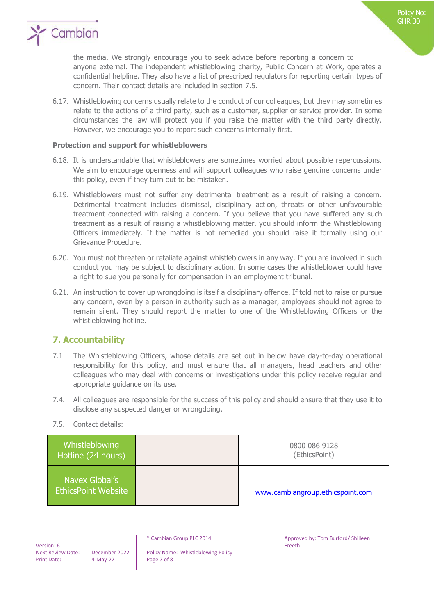

the media. We strongly encourage you to seek advice before reporting a concern to anyone external. The independent whistleblowing charity, Public Concern at Work, operates a confidential helpline. They also have a list of prescribed regulators for reporting certain types of concern. Their contact details are included in section 7.5.

6.17. Whistleblowing concerns usually relate to the conduct of our colleagues, but they may sometimes relate to the actions of a third party, such as a customer, supplier or service provider. In some circumstances the law will protect you if you raise the matter with the third party directly. However, we encourage you to report such concerns internally first.

#### **Protection and support for whistleblowers**

- 6.18. It is understandable that whistleblowers are sometimes worried about possible repercussions. We aim to encourage openness and will support colleagues who raise genuine concerns under this policy, even if they turn out to be mistaken.
- 6.19. Whistleblowers must not suffer any detrimental treatment as a result of raising a concern. Detrimental treatment includes dismissal, disciplinary action, threats or other unfavourable treatment connected with raising a concern. If you believe that you have suffered any such treatment as a result of raising a whistleblowing matter, you should inform the Whistleblowing Officers immediately. If the matter is not remedied you should raise it formally using our Grievance Procedure.
- 6.20. You must not threaten or retaliate against whistleblowers in any way. If you are involved in such conduct you may be subject to disciplinary action. In some cases the whistleblower could have a right to sue you personally for compensation in an employment tribunal.
- 6.21**.** An instruction to cover up wrongdoing is itself a disciplinary offence. If told not to raise or pursue any concern, even by a person in authority such as a manager, employees should not agree to remain silent. They should report the matter to one of the Whistleblowing Officers or the whistleblowing hotline.

## **7. Accountability**

- 7.1 The Whistleblowing Officers, whose details are set out in below have day-to-day operational responsibility for this policy, and must ensure that all managers, head teachers and other colleagues who may deal with concerns or investigations under this policy receive regular and appropriate guidance on its use.
- 7.4. All colleagues are responsible for the success of this policy and should ensure that they use it to disclose any suspected danger or wrongdoing.
- 7.5. Contact details:

| Whistleblowing<br>Hotline (24 hours)         | 0800 086 9128<br>(EthicsPoint)   |
|----------------------------------------------|----------------------------------|
| Navex Global's<br><b>EthicsPoint Website</b> | www.cambiangroup.ethicspoint.com |

 Version: 6 Print Date: 4-May-22 Page 7 of 8

Next Review Date: December 2022 | Policy Name: Whistleblowing Policy